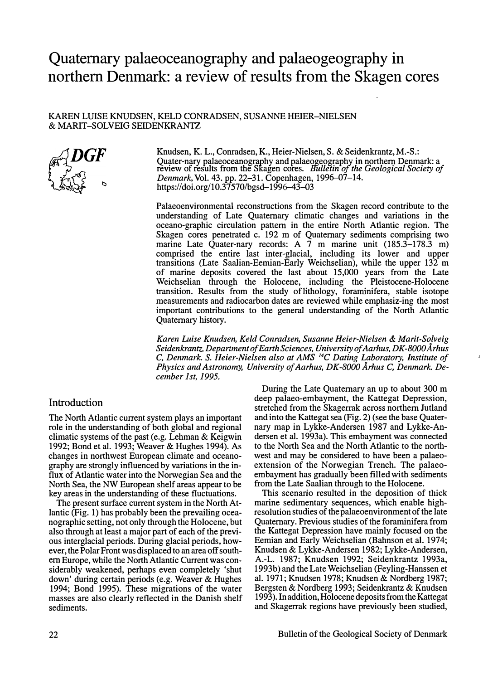# **Quaternary palaeoceanography and palaeogeography in northern Denmark: a review of results from the Skagen cores**

#### KAREN LUISE KNUDSEN, KELD CONRADSEN, SUSANNE HEIER-NIELSEN & MARIT-SOLV EIG SEIDENKRANTZ



Knudsen, **K.** L.,Conradsen,K., Heier-Nielsen, S. & Seidenkrantz,**M.-S.:**  Quaternary palaeoceanography and palaeogeography **in** northern Denmark: a review of results from the Skagen cores. *Bulletin of the Geological Society of Denmark,* Vol. 43. pp. 22-31.Copenhagen, 1996-07-14. https://doi.org/10.37570/bgsd-1996-43-03

Palaeoenvironmental reconstructions from the Skagen record contribute to the understanding of Late Quaternary climatic changes and variations in the oceano-graphic circulation pattern in the entire North Atlantic region. The Skagen cores penetrated c. 192 m of Quaternary sediments comprising two marine Late Quater-nary records: A 7 m marine unit (185.3–178.3 m) comprised the entire last inter-glacial, including its lower and upper transitions (Late Saalian-Eemian-Early Weichselian), while the upper 132 m of marine deposits covered the last about 15,000 years from the Late Weichselian through the Holocene, including the Pleistocene-Holocene transition. Results from the study oflithology, forarninifera, stable isotope measurements and radiocarbon dates are reviewed while emphasiz-ing the most important contributions to the general understanding of the North Atlantic Quaternary history.

*Karen Luise Knudsen, Keld Conradsen, Susanne Heier-Nielsen* & *Marit-Solveig Seidenkrantz, Department ofEarth Sciences, University ofAarhus, DK-8000A.rhus*  C, *Denmark.* S. *Heier-Nielsen also at AMS <sup>14</sup>C Dating Laboratory, Institute of Physics and Astronomy, University of Aarhus, DK-8000 Århus C, Denmark. December 1 st, 1995.* 

# Introduction

The North Atlantic current system plays an important role in the understanding of both global and regional climatic systems of the past (e.g. Lehman & Keigwin 1992; Bond et al. 1993; Weaver & Hughes 1994). As changes in northwest European climate and oceanography are strongly influenced by variations **in** the influx of Atlantic water into the Norwegian Sea and the North Sea, the NW European shelf areas appear to be key areas in the understanding of these fluctuations.

The present surface current system in the North Atlantic (Fig. 1) has probably been the prevailing oceanographic setting, not only through the Holocene, but also through at least a major part of each of the previous interglacial periods. During glacial periods, however, the Polar Front was displaced to an area off southern Europe, while the North Atlantic Current was considerably weakened, perhaps even completely 'shut down' during certain periods (e.g. Weaver & Hughes 1994; Bond 1995). These migrations of the water masses are also clearly reflected in the Danish shelf sediments.

During the Late Quaternary an up to about 300 m deep palaeo-embayment, the Kattegat Depression, stretched from the Skagerrak across northern Jutland and into the Kattegat sea (Fig. 2) (see the base Quaternary map in Lykke-Andersen 1987 and Lykke-Andersen et al. 1993a). This embayment was connected to the North Sea and the North Atlantic to the northwest and may be considered to have been a palaeoextension of the Norwegian Trench. The palaeoembayment has gradually been filled with sediments from the Late Saalian through to the Holocene.

This scenario resulted in the deposition of **thick** marine sedimentary sequences, which enable highresolution studies of the palaeoenvironment of the late Quaternary. Previous studies of the foraminifera from the Kattegat Depression have mainly focused on the Eernian and Early Weichselian (Bahnson et al. 1974; Knudsen & Lykke-Andersen 1982; Lykke-Andersen, A.-L. 1987; Knudsen 1992; Seidenkrantz 1993a, 1993b) and the Late Weichselian (Feyling-Hanssen et al. 1971; Knudsen 1978; Knudsen & Nordberg 1987; Bergsten & Nordberg 1993; Seidenkrantz & Knudsen 1993). In addition, Holocene deposits from the Kattegat and Skagerrak regions have previously been studied,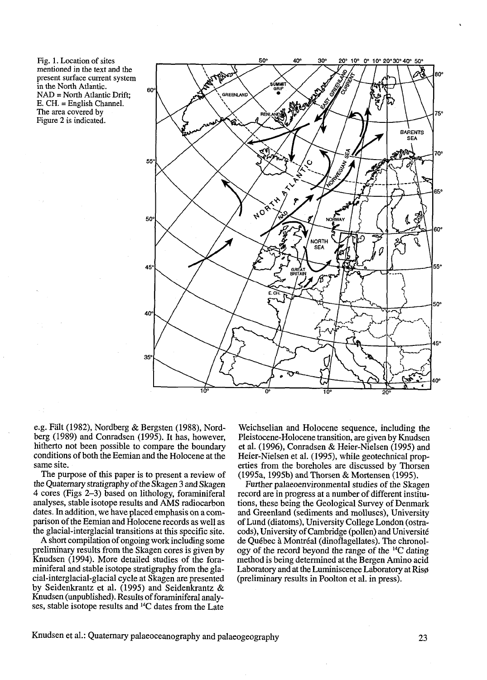Fig. 1. Location of sites mentioned in **the** text and **the**  present surface current system in the North Atlantic. **NAD** = North Atlantic Drift; E. CH. = English Channel. The area covered by Figure 2 is indicated.



e.g. Falt (1982), Nordberg & Bergsten (1988), Nordberg (1989) and Conradsen (1995). It has, however, hitherto not been possible to compare the boundary conditions of both the Eemian and the Holocene at the same site.

The purpose of this paper is to present a review of the Quatemary stratigraphy of the Skagen **3** and Skagen 4 cores (Figs **2-3)** based on lithology, foraminiferal analyses, stable isotope results and AMS radiocarbon dates. In addition, we have placed emphasis on a comparison of the Eemian and Holocene records as well as the glacial-interglacial transitions at this specific site.

**A** short compilation of ongoing work including some preliminary results from the Skagen cores is given by Knudsen (1994). More detailed studies of the foraminiferal and stable isotope stratigraphy from the glacial-interglacial-glacial cycle at Skagen are presented by Seidenkrantz et al. (1995) and Seidenkrantz & Knudsen (unpublished). Results of foraminiferal analyses, stable isotope results and 14C dates from the Late

Weichselian and Holocene sequence, including the Pleistocene-Holocene transition, are given by Knudsen et al. (1996), Conradsen & Heier-Nielsen (1995) and Heier-Nielsen et al. (1995), while geotechnical properties from the boreholes are discussed by Thorsen (1995a, 1995b) and Thorsen & Mortensen (1995).

Further palaeoenvironmental studies of the Skagen record are in progress at a number of different institutions, these being the Geological Survey of Denmark and Greenland (sediments and molluscs), University of Lund (diatoms), University College London (ostracods), University of Cambridge (pollen) and Université de Québec **i** Montréal (dinoflagellates). The chronology of the record beyond the range of the 14C dating method is being determined at the Bergen Amino acid Laboratory and at the Luminiscence Laboratory at Riso (preliminary results in Poolton et al. in press).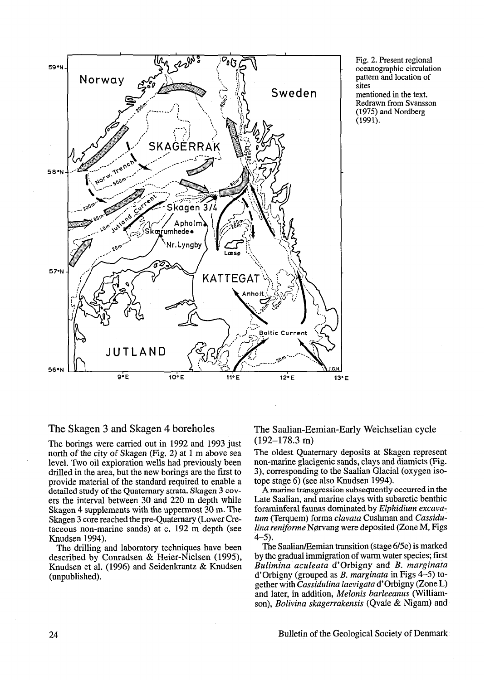

Fig. 2. Present regional oceanographic circulation pattem and location of sites mentioned in the text. Redrawn from Svansson (1975) and Nordberg (1991).

# The Skagen **3** and Skagen 4 boreholes

The borings were carried out in 1992 and 1993 just north of the city of Skagen (Fig. 2) at 1 m above sea level. Two oil exploration wells had previously been drilled in the area, but the new borings are the first to provide material of the standard required to enable a detailed study of the Quaternary strata. Skagen 3 covers the interval between 30 and 220 m depth while Skagen 4 supplements with the uppermost 30 m. The Skagen 3 core reached the pre-Quaternary (Lower Cretaceous non-marine sands) at c. 192 m depth (see Knudsen 1994).

The drilling and laboratory techniques have been described by Conradsen & Heier-Nielsen (1995), Knudsen et al. (1996) and Seidenkrantz & Knudsen (unpublished).

The Saalian-Eernian-Early Weichselian cycle (192-178.3 m)

The oldest Quaternary deposits at Skagen represent non-marine glacigenic sands, clays and diarnicts (Fig. **3),** corresponding to the Saalian Glacial (oxygen isotope stage 6) (see also Knudsen 1994).

**A** marine transgression subsequently occurred in the Late Saalian, and marine clays with subarctic benthic foraminferal faunas dominated by *Elphidium excavatum* (Terquem) forma *clavata* Cushman and *Cassidulina reniforne* NØrvang were deposited (Zone M, Figs 4-5).

The Saalian/Eemian transition (stage 6/5e) is marked by the gradual immigration of warm water species; first *Bulimina aculeata* d'Orbigny and *B. marginata* d'orbigny (grouped as *B. marginata* in Figs *4-5)* together with *Cassidulina laevigata* d'orbigny (Zone *L)*  and later, in addition, *Melonis barleeanus* (Williamson), *Bolivina skagerrakensis* (Qvale & Nigam) and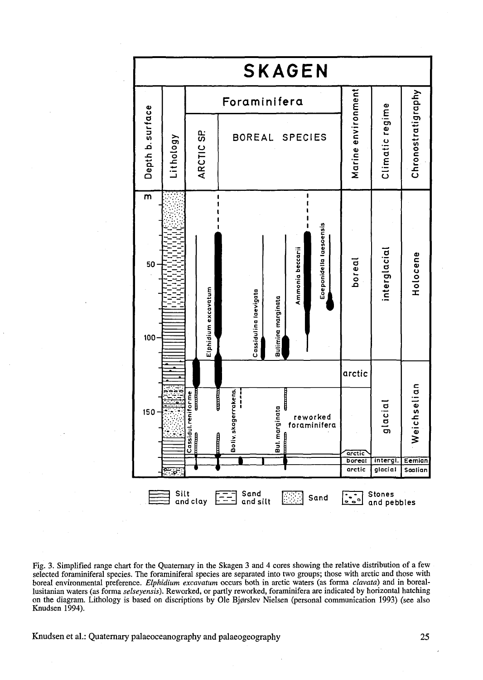

Fig. **3.** Simplified range chart for the Quaternary in the Skagen **3** and 4 cores showing the relative distribution of a few selected forarniniferai species. The foraminiferal species are separated into two groups; those with arctic and those with boreai environmental preference. *Elphidium excavatum* occurs both in arctic waters (as forma *clavara)* and in boreaion the diagram. Lithology is based on discriptions by Ole Bjørslev Nielsen (personal communication 1993) (see also Knudsen 1994).

Knudsen et al.: Quatemary palaeoceanography and palaeogeography **25**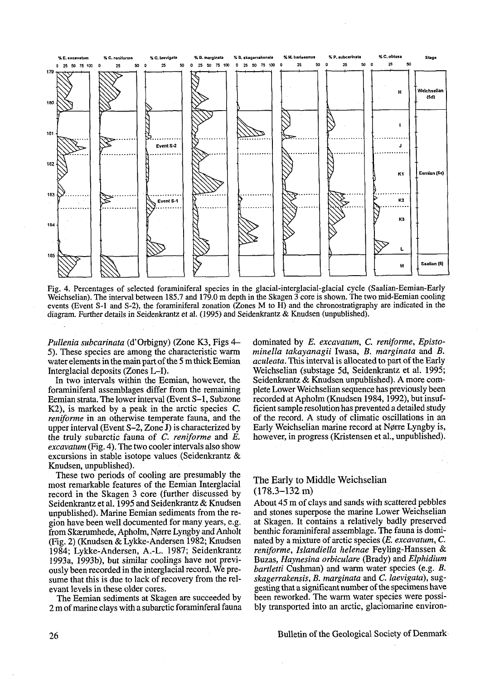

Fig. 4. Percentages of selected foraminiferal species in the glacial-interglacial-glacial cycle (Saalian-Eemian-Early Weichselian). The interval between 185.7 and 179.0 m depth in the Skagen **3** core is shown. The two mid-Eemian cooling events (Event S-l and S-2), the foraminiferal zonation (Zones M to H) and the chronostratigraphy are indicated in the diagram. **Further** details in Seidenkrantz et al. (1995) and Seidenkrantz & Knudsen (unpublished).

*Pullenia subcarinata* (d'orbigny) (Zone **K3,** Figs **4-**  5). These species are arnong the characteristic warm water elements in the main part of the 5 m thick Eemian Interglacial deposits (Zones L-I).

In two intervals within the Eemian, however, the foraminiferal assemblages differ from the remaining Eemian strata. The lower interval (Event S-l, Subzone K2), is marked by a peak in the arctic species C. *reniforme* in an otherwise temperate fauna, and the upper interval (Event S-2, Zone J) is characterized by the tmly subarctic fauna of *C. reniforme* and *E. excavatum* (Fig. 4). The two cooler intervals also show excursions in stable isotope values (Seidenkrantz & Knudsen, unpublished).

These two periods of cooling are presumably the most remarkable features of the Eemian Interglacial record in the Skagen 3 core (further discussed by Seidenkrantz et al. 1995 and Seidenkrantz & Knudsen unpublished). Marine Eemian sediments from the region have been well documented for many years, e.g. from Skærurnhede, Apholm, Norre Lyngby and Anholt (Fig. 2) (Knudsen & Lykke-Andersen 1982; Knudsen 1984; Lykke-Andersen, A.-L. 1987; Seidenkrantz 1993a, 1993b), but similar coolings have not previously been recorded in the interglacial record. We presume that this is due to lack of recovery from the relevant levels in these older cores.

The Eemian sediments at Skagen are succeeded by 2 m of marine clays with a subarctic foraminferal fauna dominated by E. *excavatum,* C. *reniforme, Epistominella takayanagii* Iwasa, *B. marginata* and *B. aculeata.* This interval is allocated to part of the Early Weichselian (substage 5d, Seidenkrantz et al. 1995; Seidenkrantz & Knudsen unpublished). A more complete Lower Weichselian sequence has previously been recorded at Apholm (Knudsen 1984,1992), but insufficient sample resolution has prevented a detailed study of the record. A study of climatic oscillations in an Early Weichselian marine record at Norre Lyngby is, however, in progress (Kristensen et al., unpublished).

#### The Early to Middle Weichselian (178.3-132 m)

About 45 m of clays and sands with scattered pebbles and stones superpose the marine Lower Weichselian at Skagen. It contains a relatively badly preserved benthic foraminiferal assemblage. The fauna is dominated by a mixture of arctic species *(E. excavatum,* C. *reniforme, Zslandiella helenae* Feyling-Hanssen & Buzas, *Haynesina orbiculare* (Brady) and *Elphidium bartletti* Cushman) and warm water species (e.g. B. *skagerrakensis,* B. *marginata* and *C. laevigata),* suggesting that a significant number of the specimens have been reworked. The warm water species were possibly transported into an arctic, glaciomarine environ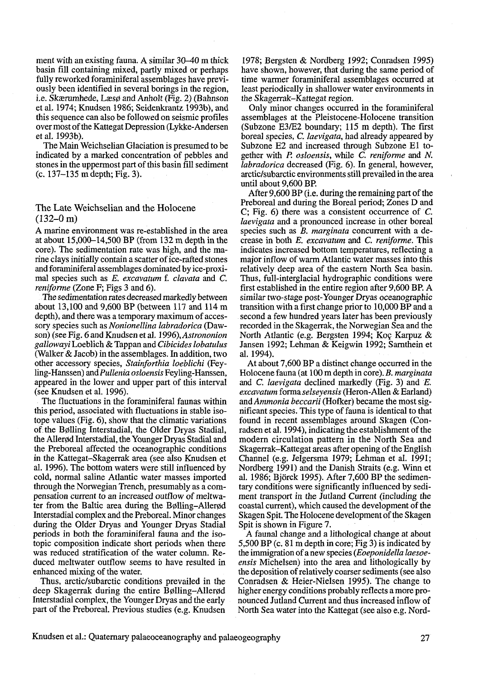ment with an existing fauna. A similar 30–40 m thick basin fil1 containing mixed, partly mixed or perhaps fully reworked foraminiferal assemblages have previously been identified in several borings in the region, i.e. Skærumhede, Læsø and Anholt (Fig. 2) (Bahnson et al. 1974; Knudsen 1986; Seidenkrantz 1993b), and this sequence can also be followed on seismic profiles over most of the Kattegat Depression (Lykke-Andersen et al. 1993b).

The Main Weichselian Glaciation is presumed to be indicated by a marked concentration of pebbles and stones in the uppermost part of this basin fil1 sediment (C. 137-135 m depth; Fig. 3).

#### The Late Weichselian and the Holocene  $(132-0)$  m)

A marine environment was re-established in the area at about 15,000-14,500 BP (from 132 m depth in the core). The sedimentation rate was high, and the marine clays initially contain a scatter of ice-rafted stones and foraminiferal assemblages dominated by ice-proximal species such as E. excavatum f. clavata and C. reniforne (Zone F; Figs **3** and 6).

The sedimentation rates decreased markedly between about 13,100 and 9,600 BP (between 117 and 114 m depth), and there was a temporary maximum of accessory species such as Nonionellina labradorica (Dawson) (see Fig. 6 and Knudsen et al. 1996), Astrononion  $gallowayi$  Loeblich & Tappan and Cibicides lobatulus (Walker & Jacob) in the assemblages. In addition, two other accessory species, Stainforthia loeblichi (Feyling-Hanssen) and Pullenia osloensis Feyling-Hanssen, appeared in the lower and upper part of this interval (see Knudsen et al. 1996).

The fluctuations in the foraminiferal faunas within this period, associated with fluctuations in stable isotope values (Fig. 6), show that the climatic variations of the BØlling Interstadial, the Older Dryas Stadial, the Allerod Interstadial, the Younger Dryas Stadial and the Preboreal affected the oceanographic conditions in the Kattegat-Skagerrak area (see also Knudsen et al. 1996). The bottom waters were still influenced by cold, normal saline Atlantic water masses imported through the Norwegian Trench, presumably as a compensation current to an increased outflow of meltwater from the Baltic area during the Bølling-Allerød Interstadial complex and the Preboreal. Minor changes during the Older Dryas and Younger Dryas Stadial periods in both the forarniniferal fauna and the isotopic composition indicate short periods when there was reduced stratification of the water column. Reduced meltwater outflow seems to have resulted in enhanced mixing of the water.

Thus, arctic/subarctic conditions prevailed in the deep Skagerrak during the entire Bølling-Allerød Interstadial complex, the Younger Dryas and the early part of the Preboreal. Previous studies (e.g. Knudsen 1978; Bergsten & Nordberg 1992; Conradsen 1995) have shown, however, that during the same period of time warmer foraminiferal assemblages occurred at least periodically in shallower water environments in the Skagerrak-Kattegat region.

Only minor changes occurred in the foraminiferal assemblages at the Pleistocene-Holocene transition (Subzone E3/E2 boundary; 115 m depth). The first boreal species, C. laevigata, had already appeared by Subzone E2 and increased through Subzone El together with **T!** osloensis, while C. reniforme and N. labradorica decreased (Fig. 6). In general, however, arcticlsubarctic environments still prevailed in the area until about 9,600 BP.

After 9,600 BP (i.e. during the remaining part of the Preboreal and during the Boreal period; Zones D and C; Fig. 6) there was a consistent occurrence of C. laevigata and a pronounced increase in other boreal species such as  $\overline{B}$ . *marginata* concurrent with a decrease in both E. excavatum and C. reniforme. This indicates increased bottom temperatures, reflecting a major inflow of warm Atlantic water masses into this relatively deep area of the eastem North Sea basin. Thus, full-interglacial hydrographic conditions were first established in the entire region after 9,600 BP. A similar two-stage post-Younger Dryas oceanographic transition with a first change prior to 10,000 BP and a second a few hundred years later has been previously recorded in the Skagerrak, the Norwegian Sea and the North Atlantic (e.g. Bergsten 1994; Koç Karpuz & Jansen 1992; Lehman & Keigwin 1992; Sarnthein et al. 1994).

At about 7,600 BP a distinct change occurred in the Holocene fauna (at 100 m depth in core). B. marginata and *C.* laevigata declined markedly (Fig. 3) and E. excavatum forma selseyensis (Heron-Allen & Earland) and Ammonia beccarii (Hofker) became the most significant species. This type of fauna is identical to that found in recent assemblages around Skagen (Conradsen et al. 1994), indicating the establishment of the modern circulation pattern in the North Sea and Skagerrak-Kattegat areas after opening of the English Channel (e.g. Jelgersma 1979; Lehman et al. 1991; Nordberg 1991) and the Danish Straits (e.g. Winn et al. 1986; Bjorck 1995). After 7,600 BP the sedimentary conditions were significantly influenced by sediment transport in the Jutland Current (including the coastal current), which caused the development of the Skagen Spit. The Holocene development of the Skagen Spit is shown in Figure 7.

A faunal change and a lithological change at about 5,500 BP (c. 8 1 m depth in core; Fig **3)** is indicated by the immigration of a new species (Eoeponidella laesoeensis Michelsen) into the area and lithologically by the deposition of relatively coarser sediments (see also Conradsen & Heier-Nielsen 1995). The change to higher energy conditions probably reflects a more pronounced Jutland Current and thus increased inflow of North Sea water into the Kattegat (see also e.g. Nord-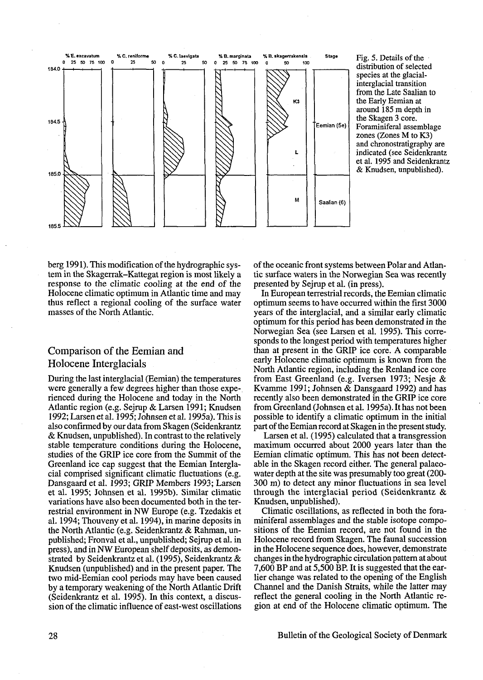

Fig. **5.** Details of the distribution of selected species at the glacialinterglacial transition from the Late Saalian to the Early Eemian at around **185** m depth in the Skagen **3** core. Foraminiferal assemblage zones (Zones M to **K3)**  and chronostratigraphy are indicated (see Seidenkrantz et al. **1995** and Seidenkrantz & Knudsen, unpublished).

berg 1991). This modification of the hydrographic system in the Skagerrak-Kattegat region is most likely a response to the climatic cooling at the end of the Holocene climatic optimum in Atlantic time and may thus reflect a regional cooling of the surface water masses of the North Atlantic.

# Comparison of the Eernian and Holocene Interglacials

During the last interglacial (Eemian) the temperatures were generally a few degrees higher than those experienced during the Holocene and today in the North Atlantic region (e.g. Sejrup & Larsen 1991; Knudsen 1992; Larsen et al. 1995; Johnsen et al. 1995a). This is also confirmed by our data from Skagen (Seidenkrantz & Knudsen, unpublished). In contrast to the relatively stable temperature conditions during the Holocene, studies of the GRIP ice core from the Summit of the Greenland ice cap suggest that the Eemian Interglacial comprised significant climatic fluctuations (e.g. Dansgaard et al. 1993; GRP Members 1993; Larsen et al. 1995; Johnsen et al. 1995b). Similar climatic variations have also been documented both in the terrestrial environment in NW Europe (e.g. Tzedakis et al. 1994; Thouveny et al. 1994), in marine deposits in the North Atlantic (e.g. Seidenkrantz & Rahman, unpublished; Fronval et al., unpublished; Sejrup et al. in press), and in NW European shelf deposits, as demonstrated by Seidenkrantz et al. (1995), Seidenkrantz & Knudsen (unpublished) and in the present paper. The two mid-Eemian cool periods may have been caused by a temporary weakening of the North Atlantic Drift (Seidenkrantz et al. 1995). In this context, a discussion of the climatic influence of east-west oscillations of the oceanic front systems between Polar and Atlantic surface waters in the Nonvegian Sea was recently presented by Sejrup et al. (in press).

In European terrestrial records, the Eemian climatic optimum seems to have occurred within the first 3000 years of the interglacial, and a similar early climatic optimum for this period has been demonstrated in the Norwegian Sea (see Larsen et al. 1995). This corresponds to the longest period with temperatures higher than at present in the GRIP ice core. A comparable early Holocene climatic optimum is known from the North Atlantic region, including the Renland ice core from East Greenland (e.g. Iversen 1973; Nesje & Kvamme 1991; Johnsen & Dansgaard 1992) and has recently also been demonstrated in the GRIP ice core from Greenland (Johnsen et al. 1995a). It has not been possible to identify a climatic optimum in the initial part of the Eemian record at Skagen in the present study.

Larsen et al. (1995) calculated that a transgression maximum occurred about 2000 years later than the Eemian climatic optimum. This has not been detectable in the Skagen record either. The general palaeowater depth at the site was presumably too great (200- 300 m) to detect any rninor fluctuations in sea level through the interglacial period (Seidenkrantz & Knudsen, unpublished).

Climatic oscillations, as reflected in both the foraminiferal assemblages and the stable isotope compositions of the Eemian record, are not found in the Holocene record from Skagen. The fauna1 succession in the Holocene sequence does, however, demonstrate changes in the hydrographic circulation pattem at about 7,600 BP and at 5,500 BP. It is suggested that the earlier change was related to the opening of the English Channel and the Danish Straits, while the latter may reflect the general cooling in the North Atlantic region at end of the Holocene climatic optimum. The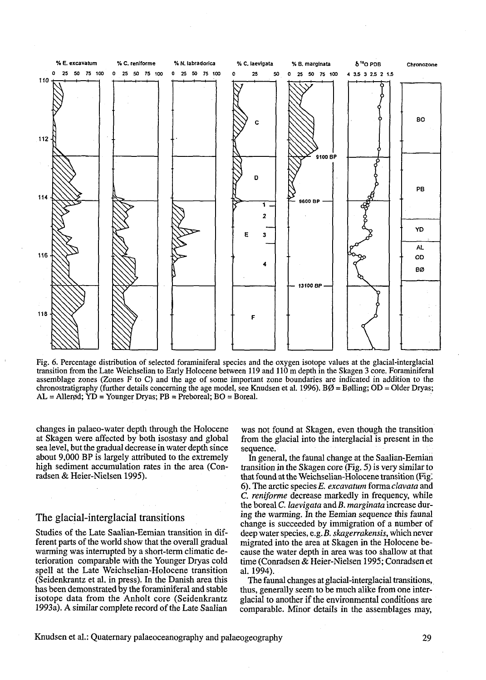

Fig. *6.* Percentage distribution of selected foraminiferal species and the oxygen isotope values at the glacial-interglacial transition from the Late Weichselian to Early Holocene between 119 and 110 m depth in the Skagen **3** core. Foraminiferal assemblage zones (Zones F to C) and the age of some important zone boundaries are indicated in addition to the chronostratigraphy (further details concerning the age model, see Knudsen et al. 1996).  $B\emptyset = B\emptyset$ lling; OD = Older Dryas;  $AL = Allergd$ ;  $YD = Younger Dryas$ ;  $PB = Preboreal$ ;  $BO = Boreal$ .

changes in palaeo-water depth through the Holocene at Skagen were affected by both isostasy and global sea level, but the gradual decrease in water depth since about 9,000 BP is largely attributed to the extremely high sediment accumulation rates in the area (Conradsen & Heier-Nielsen 1995).

#### The glacial-interglacial transitions

Studies of the Late Saalian-Eemian transition in different parts of the world show that the overall gradual warming was interrupted by a short-term climatic deterioration comparable with the Younger Dryas cold spell at the Late Weichselian-Holocene transition (Seidenkrantz et al. in press). In the Danish area this has been demonstrated by the foraminiferal and stable isotope data from the Anholt core (Seidenkrantz 1993a). **A** similar complete record of the Late Saalian

was not found at Skagen, even though the transition from the glacial into the interglacial is present in the sequence.

In general, the fauna1 change at the Saalian-Eemian transition in the Skagen core (Fig. *5)* is very similar to that found at the Weichselian-Holocene transition (Fig. *6).* The arctic species E. *excavatum* forma *clavata* and C. *reniforme* decrease markedly in frequency, while the boreal *C. laevigata* and *B. marginata* increase during the warming. In the Eemian sequence his fauna1 change is succeeded by immigration of a number of deep water species, e.g. B. *skagerrakensis,* which never migrated into the area at Skagen in the Holocene because the water depth in area was too shallow at that time (Conradsen & Heier-Nielsen 1995; Conradsen et al. 1994).

The faunal changes at glacial-interglacial transitions, thus, generally seem to be much alike from one interglacial to another if the environmental conditions are comparable. Minor details in the assemblages may,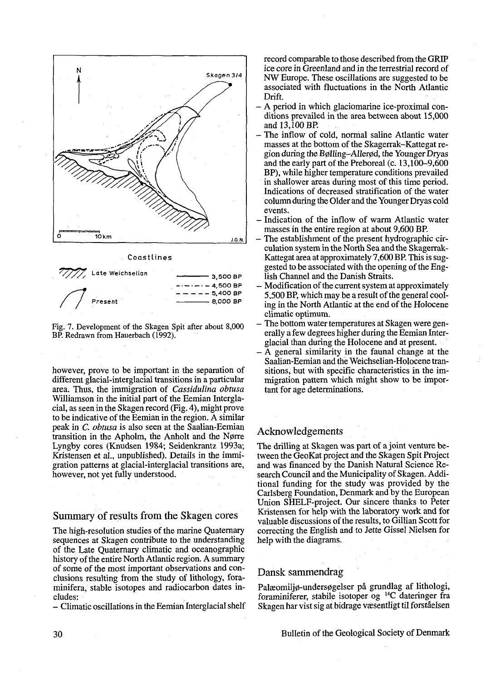

**Coastlines** 



Fig. 7. Development of the Skagen Spit after about 8,000 BP. Redrawn from Hauerbach (1992).

however, prove to be important in the separation of different glacial-interglacial transitions in a particular area. Thus, the immigration of *Cassidulina obtusa*  Williamson in the initial part of the Eemian Interglacial, as seen in the Skagen record (Fig. 4), might prove to be indicative of the Eemian in the region. A similar peak in *C. obtusa* is also seen at the Saalian-Eemian transition in the Apholm, the Anholt and the Norre Lyngby cores (Knudsen 1984; Seidenkrantz 1993a; Kristensen et al., unpublished). Details in the immigration pattems at glacial-interglacial transitions are, however, not yet fully understood.

#### Summary of results from the Skagen cores

The high-resolution studies of the marine Quaternary sequences at Skagen contribute to the understanding of the Late Quaternary climatic and oceanographic history of the entire North Atlantic region. A summary of some of the most important observations and conclusions resulting from the study of lithology, foraminifera, stable isotopes and radiocarbon dates includes:

- Climatic oscillations in the Eemian Interglacial shelf

record comparable to those described from the GRIP ice core in Greenland and in the terrestrial record of NW Europe. These oscillations are suggested to be associated with fluctuations in the North Atlantic Drift.

- A period in which glaciomarine ice-proximal conditions prevailed in the area between about 15,000 and 13,100 BP.
- The inflow of cold, normal saline Atlantic water masses at the bottom of the Skagerrak-Kattegat region during the Bolling-Allerod, the Younger Dryas and the early part of the Preboreal (c. 13,100-9,600 BP), while higher temperature conditions prevailed in shallower areas during most of this time period. Indications of decreased stratification of the water column during the Older and the Younger Dryas cold events.
- Indication of the inflow of warm Atlantic water masses in the entire region at about 9,600 BP.
- The establishment of the present hydrographic circulation system in the North Sea and the Skagerrak-Kattegat area at approximately 7,600 BP. This is suggested to be associated with the opening of the English Channel and the Danish Straits.
- Modification of the current system at approximately 5,500 BP, which may be a result of the general cooling in the North Atlantic at the end of the Holocene climatic optimum.
- The bottom water temperatures at Skagen were generally a few degrees higher during the Eemian Interglacial than during the Holocene and at present.
- A general similarity in the faunal change at the Saalian-Eemian and the Weichselian-Holocene transitions, but with specific characteristics in the immigration pattem which might show to be important for age determinations.

## Acknowledgements

The drilling at Skagen was part of a joint venture between the GeoKat project and the Skagen Spit Project and was financed by the Danish Natura1 Science Research Council and the Municipality of Skagen. Additional funding for the study was provided by the Carlsberg Foundation, Denmark and by the European Union SHELF-project. Our sincere thanks to Peter Kristensen for help with the laboratory work and for valuable discussions of the results, to Gillian Scott for correcting the English and to Jette Gissel Nielsen for help with the diagrams.

## Dansk sammendrag

Palzomiljo-undersogelser på grundlag af lithologi, foraminiferer, stabile isotoper og 14C dateringer fra Skagen har vist sig at bidrage væsentligt til forståelsen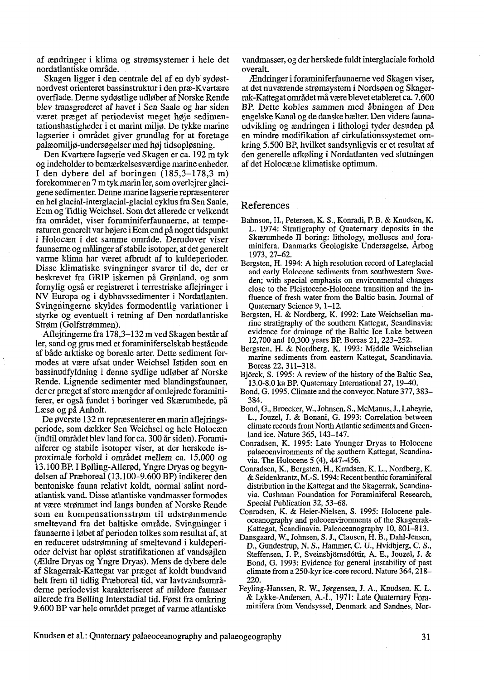af ændringer i klima og stromsystemer i hele det nordatlantiske område.

Skagen ligger i den centrale del af en dyb sydostnordvest orienteret bassinstruktur i den præ-Kvartære overflade. Denne sydostlige udlober af Norske Rende blev transgrederet af havet i Sen Saale og har siden været præget af periodevist meget hoje sedimentationshastigheder i et marint miljo. De tykke marine lagserier i området giver grundlag for at foretage palæomiljo-undersogelser med hoj tidsoplosning.

Den Kvartære lagserie ved Skagen er ca. 192 m tyk og indeholder to bemærkelsesværdige marine enheder. I den dybere del af boringen (185,3-178,3 m) forekommer en 7 m tyk marin ler, som overlejrer glacigene sedimenter. Denne marine lagserie repræsenterer en hel glacial-interglacial-glacial cyklus fra Sen Saale, Eem og Tidlig Weichsel. Som det allerede er velkendt fra området, viser foraminiferfaunaerne, at temperaturen generelt var hojere i Eem end på noget tidspunkt i Holocæn i det samme område. Denidover viser faunaeme og malinger af stabile isotoper, at det generelt varme klima har været afbrudt af to kuldeperioder. Disse klimatiske svingninger svarer til de, der er beskrevet fra GRIP iskernen på Grønland, og som fomylig også er registreret i terrestriske aflejringer i NV Europa og i dybhavssedimenter i Nordatlanten. Svingningerne skyldes formodentlig variationer i styrke og eventuelt i retning af Den nordatlantiske Strøm (Golfstrømmen).

Aflejringerne fra 178,3-132 m ved Skagen består af ler, sand og grus med et foraminiferselskab bestående af både arktiske og boreale arter. Dette sediment formodes at være afsat under Weichsel Istiden som en bassinudfyldning i denne sydlige udlgber af Norske Rende. Lignende sedimenter med blandingsfaunaer, der er præget af store mængder af omlejrede foraminiferer, er også fundet i boringer ved Skærumhede, på Læsø og på Anholt.

De Øverste 132 m reprzsenterer en marin aflejringsperiode, som dækker Sen Weichsel og hele Holocæn (indtil området blev land for ca. 300 år siden). Foraminiferer og stabile isotoper viser, at der herskede isproximale forhold i området mellem ca. 15.000 og 13.100 BP. I Bolling-Allerod, Yngre Dryas og begyndelsen af Præboreal (13.100-9.600 BP) indikerer den bentoniske fauna relativt koldt, normal salint nordatlantisk vand. Disse atlantiske vandmasser formodes at være strommet ind langs bunden af Norske Rende som en kompensationsstrøm til udstrømmende smeltevand fra det baltiske område. Svingninger i faunaeme i Iobet af perioden tolkes som resultat af, at en reduceret udstrømning af smeltevand i kuldeperioder delvist har opløst stratifikationen af vandsøjlen (Ældre Dryas og Yngre Dryas). Mens de dybere dele af Skagerrak-Kattegat var præget af koldt bundvand helt frem til tidlig Præboreal tid, var lavtvandsområderne periodevist karakteriseret af mildere faunaer allerede fra Bolling Interstadial tid. Fgrst fra omkring 9.600 BP var hele området præget af varme atlantiske

vandmasser, og der herskede fuldt interglaciale forhold overalt.

Ændringer i foraminiferfaunaeme ved Skagen viser, at det nuværende stromsystem i Nordsoen og Skagerrak-Kattegat området må være blevet etableret ca. 7.600 BP. Dette kobles sammen med åbningen af Den engelske Kanal og de danske bzlter. Den videre faunaudvikling og ændringen i lithologi tyder desuden på en mindre modifikation af cirkulationssystemet omkring 5.500 BP, hvilket sandsynligvis er et resultat af den generelle afkøling i Nordatlanten ved slutningen af det Holocæne klimatiske optimum.

#### References

- Bahnson, H., Petersen, K. S., Konradi, P. B. & Knudsen, K. L. 1974: Stratigraphy of Quaternary deposits in the Skærumhede II boring: lithology, molluscs and foraminifera. Danmarks Geologiske Undersogelse, Arbog 1973, 27-62.
- Bergsten, H. 1994: A high resolution record of Lateglacial and early Holocene sediments from southwestem Sweden; with special emphasis on environmental changes close to the Pleistocene-Holocene transition and the influence of fresh water from the Baltic basin. Joumal of Quatemary Science 9, 1-12.
- Bergsten, H. & Nordberg, K. 1992: Late Weichselian marine stratigraphy of the southem Kattegat, Scandinavia: evidence for drainage of the Baltic Ice Lake between 12,700 and 10,300 years BP. Boreas 21,223-252.
- Bergsten, H. & Nordberg, K. 1993: Middle Weichselian marine sediments from eastem Kattegat, Scandinavia. Boreas 22,311-318.
- Bjorck, S. 1995: A review of the history of the Baltic Sea, 13.0-8.0 ka BP. Quatemay Intemational 27, 19-40.
- Bond, G. 1995. Climate and the conveyor. Nature 377,383- 384.
- Bond, G., Broecker, W., Johnsen, S., McManus, J., Labeyrie, L., Jouzel, J. & Bonani, G. 1993: Correlation between climate records from North Atlantic sediments and Greenland ice. Nature 365, 143-147.
- Conradsen, K. 1995: Late Younger Dryas to Holocene palaeoenvironrnents of the southem Kattegat, Scandinavia. The Holocene 5 (4), 447-456.
- Conradsen, K., Bergsten, H., Knudsen, K. L., Nordberg, K. & Seidenkrantz, M.-S. 1994: Recent benthic foraminiferal distribution in the Kattegat and the Skagerrak, Scandinavia. Cushman Foundation for Forarniniferal Research, Special Publication 32, 53-68.
- Conradsen, K. & Heier-Nielsen, S. 1995: Holocene paleoceanography and paleoenvironments of the Skagerrak-Kattegat, Scandinavia. Paleoceanography 10, 801-813.
- Dansgaard, W., Johnsen, S. J., Clausen, H. B., Dahl-Jensen, D., Gundestrup, N. S., Hammer, *C.* U., Hvidbjerg, *C.* S., Steffensen, J. P., Sveinsbjomsdóttir, **A.** E., Jouzel, J. & Bond, G. 1993: Evidence for general instability of past climate from a 250-kyr ice-core record. Nature 364, 218-220.
- Feyling-Hanssen, R. W., Jgrgensen, J. **A.,** Knudsen, K. L. & Lykke-Andersen, A.-L. 1971: Late Quatemary Foraminifera from Vendsyssel, Denmark and Sandnes, Nor-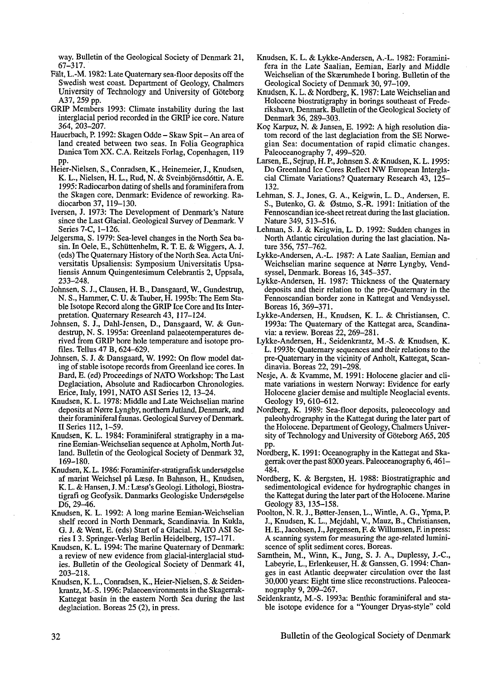way. Bulletin of the Geological Society of Denmark 21, 67-317.

- Fdt, L.-M. 1982: Late Quatemary sea-floor deposits off the Swedish west coast. Department of Geology, Chalmers University of Technology and University of Goteborg A37,259 pp.
- GRIP Members 1993: Climate instability during the last interglacial period recorded in the GRIP ice core. Nature 364,203-207.
- Hauerbach, P. 1992: Skagen Odde Skaw Spit An area of land created between two seas. In Folia Geographica Danica Tom XX. C.A. Reitzels Forlag, Copenhagen, 119 PP.
- Heier-Nielsen, S., Conradsen, K., Heinemeier, J., Knudsen, K. L., Nielsen, H. L., Rud, N. & Sveinbjörnsdóttir, A. E. 1995: Radiocarbon dating of shells and foraminifera from the Skagen core, Denmark: Evidence of reworking. Radiocarbon 37, 119-130.
- Iversen, J. 1973: The Development of Denmark's Nature since the Last Glacial. Geological Survey of Denmark. V Series 7-C, 1-126.
- Jelgersma, S. 1979: Sea-level changes in the North Sea basin. **In** Oele, E., Schuttenhelm, R. T. E. & Wiggers, A. J. (eds) The Quatemary History of the North Sea. Acta Universitatis Upsaliensis: Symposium Universitatis Upsaliensis Annum Quingentesimum Celebrantis 2, Uppsala, 233-248.
- Johnsen, S. J., Clausen, H. B., Dansgaard, W., Gundestrup, N. S., Hammer, C. U. & Tauber, H. 1995b: The Eem Stable Isotope Record along the GRIP Ice Core and Its Interpretation. Quaternary Research 43, 117-124.
- Johnsen, S. J., Dahl-Jensen, D., Dansgaard, W. & Gundestrup, N. S. 1995a: Greenland palaeotemperatures derived from GRIP bore hole temperature and isotope profiles. Tellus 47 B, 624-629.
- Johnsen, S. J. & Dansgaard, W. 1992: On flow model dating of stable isotope records from Greenland ice cores. In Bard, E. (ed) Proceedings of NATO Workshop: The Last Deglaciation, Absolute and Radiocarbon Chronologies. Erice, Italy, 1991, NATO AS1 Series 12, 13-24.
- Knudsen, K. L. 1978: Middle and Late Weichselian marine deposits at Norre Lyngby, northern Jutland, Denmark, and their forarniniferal faunas. Geological Survey of Denmark. II Series 112, 1-59.
- Knudsen, K. L. 1984: Foraminiferal stratigraphy in a ma- rine Eemian-Weichselian sequence at Apholm, North Jutland. Bulletin of the Geological Society of Denmark 32, 169-180.
- Knudsen, K. L. 1986: Foraminifer-stratigrafisk undersøgelse af marint Weichsel på Læs@. In Bahnson, H., Knudsen, K. L. & Hansen, J. M.: Læsø's Geologi. Lithologi, Biostratigrafi og Geofysik. Danmarks Geologiske Undersøgelse  $D6, 29-46.$
- Knudsen, K. L. 1992: A long marine Eemian-Weichselian shelf record in North Denmark, Scandinavia. In Kukla, G. J. & Went, E. (eds) Start of a Glacial. NATO AS1 Series I 3. Springer-Verlag Berlin Heidelberg, 157-171.
- Knudsen, K. L. 1994: The marine Quaternary of Denmark: a review of new evidence from glacial-interglacial studies. Bulletin of the Geological Society of Denmark 41, 203-218.
- Knudsen, K. L., Conradsen, K., Heier-Nielsen, S. & Seidenkrantz, M.-S. 1996: Palaeoenvironments in the Skagerrak-Kattegat basin in the eastem North Sea during the last deglaciation. Boreas 25 (2), in press.
- Knudsen, K. L. & Lykke-Andersen, A.-L. 1982: Foraminifera in the Late Saalian, Eemian, Early and Middle Weichselian of the Skærumhede I boring. Bulletin of the Geological Society of Denmark 30,97-109.
- Knudsen, K. L. & Nordberg, K. 1987: Late Weichselian and Holocene biostratigraphy in borings southeast of Frederikshavn, Denmark. Bulletin of the Geological Society of Denmark 36,289-303.
- KOG Karpuz, N. & Jansen, E. 1992: A high resolution diatom record of the last deglaciation from the SE Norwegian Sea: documentation of rapid climatic changes. Paleoceanography 7, 499-520.
- Larsen, E., Sejrup, H. P., Johnsen S. & Knudsen, K. L. 1995: Do Greenland Ice Cores Reflect NW European Interglacial Climate Variations? Quaternary Research 43, 125- 132.
- Lehman, S. J., Jones, G. A., Keigwin, L. D., Andersen, E. S., Butenko, G. & Østmo, S.-R. 1991: Initiation of the Fennoscandian ice-sheet retreat during the last glaciation. Nature 349, 513-516.
- Lehman, S. J. & Keigwin, L. D. 1992: Sudden changes in North Atlantic circulation during the last glaciation. Nature 356,757-762.
- Lykke-Andersen, A.-L. 1987: A Late Saalian, Eemian and Weichselian marine sequence at Norre Lyngby, Vendsyssel, Denmark. Boreas 16, 345-357.
- Lykke-Andersen, H. 1987: Thickness of the Quatemary deposits and their relation to the pre-Quatemary in the Fennoscandian border zone in Kattegat and Vendsyssel. Boreas 16, 369-371.
- Lykke-Andersen, H., Knudsen, K. L. & Christiansen, C. 1993a: The Quatemary of the Kattegat area, Scandinavia: a review. Boreas 22,269-281.
- Lykke-Andersen, H., Seidenkrantz, M.-S. & Knudsen, K. L. 1993b: Quaternary sequences and their relations to the pre-Quatemary in the vicinity of Anholt, Kattegat, Scandinavia. Boreas 22, 291-298.
- Nesje, A. & Kvamme, M. 1991: Holocene glacier and climate variations in western Norway: Evidence for early Holocene glacier demise and multiple Neoglacial events. Geology 19, 610-612.
- Nordberg, K. 1989: Sea-floor deposits, paleoecology and paleohydrography in the Kattegat during the later part of the Holocene. Department of Geology, Chalmers University of Technology and University of Göteborg A65, 205 pp.
- Nordberg, K. 1991: Oceanography in the Kattegat and Skagerrak over the past 8000 years. Paleoceanography 6,461- 484.
- Nordberg, K. & Bergsten, H. 1988: Biostratigraphic and sedimentological evidence for hydrographic changes in the Kattegat during the later part of the Holocene. Marine Geology 83, 135-158.
- Poolton, N. R. J., BØtter-Jensen, L., Wintle, A. G., Ypma, P. J., Knudsen, K. L., Mejdahl, V., Mauz, B., Christiansen,<br>H. E., Jacobsen, J., Jørgensen, F. & Willumsen, F. in press: A scanning system for measuring the age-related lumini- scence of split sediment cores. Boreas.
- Sarnthein, M., Winn, K., Jung, S. J. A., Duplessy, J.-C., Labeyrie, L., Erlenkeuser, H. & Ganssen, G. 1994: Changes in east Atlantic deepwater circulation over the last 30,000 years: Eight time slice reconstructions. Paleoceanography 9,209-267.
- Seidenkrantz, M.-S. 1993a: Benthic foraminiferal and stable isotope evidence for a "Younger Dryas-style" cold